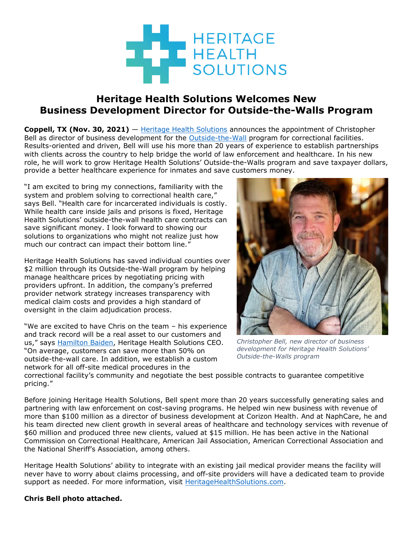

## **Heritage Health Solutions Welcomes New Business Development Director for Outside-the-Walls Program**

**Coppell, TX (Nov. 30, 2021)** — [Heritage Health Solutions](https://bit.ly/3p9LXJJ) announces the appointment of Christopher Bell as director of business development for the [Outside-the-Wall](https://bit.ly/3pdW0gW) program for correctional facilities. Results-oriented and driven, Bell will use his more than 20 years of experience to establish partnerships with clients across the country to help bridge the world of law enforcement and healthcare. In his new role, he will work to grow Heritage Health Solutions' Outside-the-Walls program and save taxpayer dollars, provide a better healthcare experience for inmates and save customers money.

"I am excited to bring my connections, familiarity with the system and problem solving to correctional health care," says Bell. "Health care for incarcerated individuals is costly. While health care inside jails and prisons is fixed, Heritage Health Solutions' outside-the-wall health care contracts can save significant money. I look forward to showing our solutions to organizations who might not realize just how much our contract can impact their bottom line."

Heritage Health Solutions has saved individual counties over \$2 million through its Outside-the-Wall program by helping manage healthcare prices by negotiating pricing with providers upfront. In addition, the company's preferred provider network strategy increases transparency with medical claim costs and provides a high standard of oversight in the claim adjudication process.

"We are excited to have Chris on the team – his experience and track record will be a real asset to our customers and us," says [Hamilton Baiden,](https://bit.ly/3FSj9w6) Heritage Health Solutions CEO. "On average, customers can save more than 50% on outside-the-wall care. In addition, we establish a custom network for all off-site medical procedures in the



*Christopher Bell, new director of business development for Heritage Health Solutions' Outside-the-Walls program*

correctional facility's community and negotiate the best possible contracts to guarantee competitive pricing."

Before joining Heritage Health Solutions, Bell spent more than 20 years successfully generating sales and partnering with law enforcement on cost-saving programs. He helped win new business with revenue of more than \$100 million as a director of business development at Corizon Health. And at NaphCare, he and his team directed new client growth in several areas of healthcare and technology services with revenue of \$60 million and produced three new clients, valued at \$15 million. He has been active in the National Commission on Correctional Healthcare, American Jail Association, American Correctional Association and the National Sheriff's Association, among others.

Heritage Health Solutions' ability to integrate with an existing jail medical provider means the facility will never have to worry about claims processing, and off-site providers will have a dedicated team to provide support as needed. For more information, visit **HeritageHealthSolutions.com**.

## **Chris Bell photo attached.**